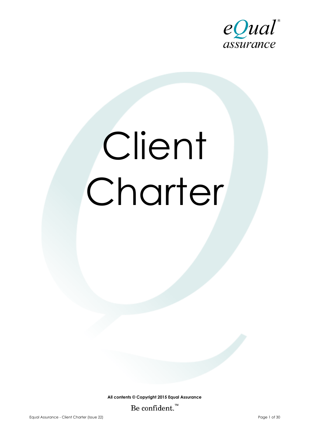

# Client Charter

**All contents © Copyright 2015 Equal Assurance** Be confident. $\mathbb{R}^m$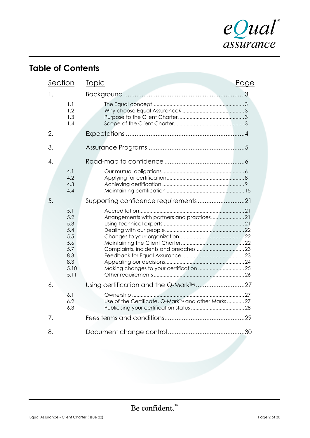

# **Table of Contents**

| <b>Section</b>                                                              | <u>Topic</u><br>Page                                |
|-----------------------------------------------------------------------------|-----------------------------------------------------|
| 1.                                                                          |                                                     |
| 1.1<br>1.2<br>1.3<br>1.4                                                    |                                                     |
| 2.                                                                          |                                                     |
| 3.                                                                          |                                                     |
| 4.                                                                          |                                                     |
| 4.1<br>4.2<br>4.3<br>4.4                                                    |                                                     |
| 5.                                                                          | Supporting confidence requirements21                |
| 5.1<br>5.2<br>5.3<br>5.4<br>5.5<br>5.6<br>5.7<br>8.3<br>8.3<br>5.10<br>5.11 |                                                     |
| 6.                                                                          | Using certification and the Q-Mark <sup>TM</sup> 27 |
| 6.1<br>6.2<br>6.3                                                           | Use of the Certificate, Q-Mark™ and other Marks27   |
| 7.                                                                          |                                                     |
| 8.                                                                          |                                                     |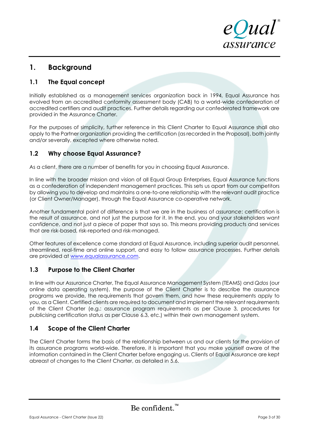

# **1. Background**

# **1.1 The Equal concept**

Initially established as a management services organization back in 1994, Equal Assurance has evolved from an accredited conformity assessment body (CAB) to a world-wide confederation of accredited certifiers and audit practices. Further details regarding our confederated framework are provided in the Assurance Charter.

For the purposes of simplicity, further reference in this Client Charter to Equal Assurance shall also apply to the Partner organization providing the certification (as recorded in the Proposal), both jointly and/or severally, excepted where otherwise noted.

# **1.2 Why choose Equal Assurance?**

As a client, there are a number of benefits for you in choosing Equal Assurance.

In line with the broader mission and vision of all Equal Group Enterprises, Equal Assurance functions as a confederation of independent management practices. This sets us apart from our competitors by allowing you to develop and maintains a one-to-one relationship with the relevant audit practice (or Client Owner/Manager), through the Equal Assurance co-operative network.

Another fundamental point of difference is that we are in the business of *assurance*; certification is the result of assurance, and not just the purpose for it. In the end, you and your stakeholders want *confidence*, and not just a piece of paper that says so. This means providing products and services that are risk-based, risk-reported and risk-managed.

Other features of excellence come standard at Equal Assurance, including superior audit personnel, streamlined, real-time and online support, and easy to follow assurance processes. Further details are provided at [www.equalassurance.com.](http://www.equalassurance.com/)

# **1.3 Purpose to the Client Charter**

In line with our Assurance Charter, The Equal Assurance Management System (TEAMS) and *Qdos* (our online data operating system), the purpose of the Client Charter is to describe the assurance programs we provide, the requirements that govern them, and how these requirements apply to you, as a Client. Certified clients are required to document and implement the relevant requirements of the Client Charter (e.g.: assurance program requirements as per Clause 3, procedures for publicising certification status as per Clause 6.3, etc.) within their own management system.

# **1.4 Scope of the Client Charter**

The Client Charter forms the basis of the relationship between us and our clients for the provision of its assurance programs world-wide. Therefore, it is important that you make yourself aware of the information contained in the Client Charter before engaging us. Clients of Equal Assurance are kept abreast of changes to the Client Charter, as detailed in 5.6.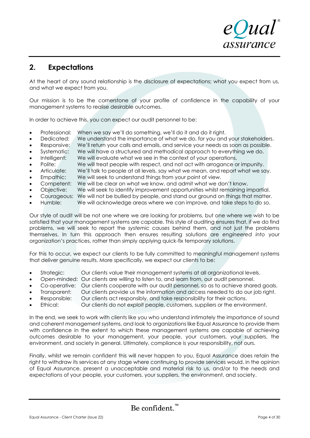

# **2. Expectations**

At the heart of any sound relationship is the disclosure of expectations; what you expect from us, and what we expect from you.

Our mission is to be the cornerstone of your profile of confidence in the capability of your management systems to realise desirable outcomes.

In order to achieve this, you can expect our audit personnel to be:

- Professional: When we say we'll do something, we'll do it and do it right.
- Dedicated: We understand the importance of what we do, for you and your stakeholders.
- Responsive: We'll return your calls and emails, and service your needs as soon as possible.
- Systematic: We will have a structured and methodical approach to everything we do.
- Intelligent: We will evaluate what we see in the context of your operations.
- Polite: We will treat people with respect, and not act with arrogance or impunity.
- Articulate: We'll talk to people at all levels, say what we mean, and report what we say.
- Empathic: We will seek to understand things from your point of view.
- Competent: We will be clear on what we know, and admit what we don't know.
- Objective: We will seek to identify improvement opportunities whilst remaining impartial.
- Courageous: We will not be bullied by people, and stand our ground on things that matter.
- Humble: We will acknowledge areas where we can improve, and take steps to do so.

Our style of audit will be not one where we are looking for problems, but one where we wish to be satisfied that your management systems are capable. This style of auditing ensures that, if we do find problems, we will seek to report the *systemic causes* behind them, and not just the problems themselves. In turn this approach then ensures resulting solutions are *engineered into* your organization's practices, rather than simply applying quick-fix temporary solutions.

For this to occur, we expect our clients to be fully committed to meaningful management systems that deliver genuine results. More specifically, we expect our clients to be:

- Strategic: Our clients value their management systems at all organizational levels.
- Open-minded: Our clients are willing to listen to, and learn from, our audit personnel.
- Co-operative: Our clients cooperate with our audit personnel, so as to achieve shared goals.
- Transparent: Our clients provide us the information and access needed to do our job right.
- Responsible: Our clients act responsibly, and take responsibility for their actions.
- Ethical: Our clients do not exploit people, customers, suppliers or the environment.

In the end, we seek to work with clients like you who understand intimately the importance of sound and coherent management systems, and look to organizations like Equal Assurance to provide them with confidence in the extent to which these management systems are capable of achieving outcomes desirable to your management, your people, your customers, your suppliers, the environment, and society in general. Ultimately, compliance is your responsibility, not ours.

Finally, whilst we remain confident this will never happen to you, Equal Assurance does retain the right to withdraw its services at any stage where continuing to provide services would, in the opinion of Equal Assurance, present a unacceptable and material risk to us, and/or to the needs and expectations of your people, your customers, your suppliers, the environment, and society.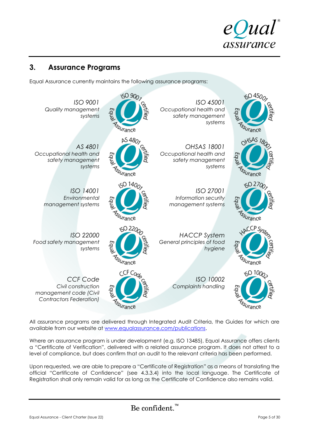

# **3. Assurance Programs**

Equal Assurance currently maintains the following assurance programs:



All assurance programs are delivered through Integrated Audit Criteria, the Guides for which are available from our website at [www.equalassurance.com/publications.](http://www.equalassurance.com/publications)

Where an assurance program is under development (e.g. ISO 13485), Equal Assurance offers clients a "Certificate of Verification", delivered with a related assurance program. It does not attest to a level of compliance, but does confirm that an audit to the relevant criteria has been performed.

Upon requested, we are able to prepare a "Certificate of Registration" as a means of translating the official "Certificate of Confidence" (see 4.3.3.4) into the local language. The Certificate of Registration shall only remain valid for as long as the Certificate of Confidence also remains valid.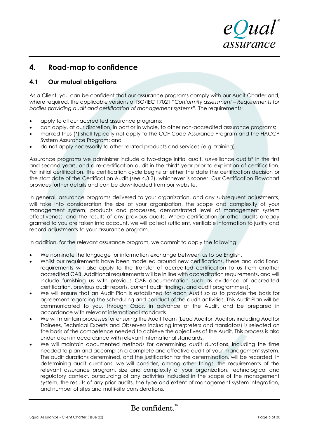eQual assurance

# **4. Road-map to confidence**

# **4.1 Our mutual obligations**

As a Client, you can be confident that our assurance programs comply with our Audit Charter and, where required, the applicable versions of ISO/IEC 17021 "*Conformity assessment – Requirements for bodies providing audit and certification of management systems".* The requirements:

- apply to all our accredited assurance programs;
- can apply, at our discretion, in part or in whole, to other non-accredited assurance programs;
- marked thus (\*) shall typically not apply to the CCF Code Assurance Program and the HACCP System Assurance Program; and
- do not apply necessarily to other related products and services (e.g. training).

Assurance programs we administer include a two-stage initial audit, surveillance audits\* in the first and second years, and a re-certification audit in the third\* year prior to expiration of certification. For initial certification, the certification cycle begins at either the date the certification decision or the start date of the Certification Audit (see 4.3.3), whichever is sooner. Our Certification Flowchart provides further details and can be downloaded from our website.

In general, assurance programs delivered to your organization, and any subsequent adjustments, will take into consideration the size of your organization, the scope and complexity of your management system, products and processes, demonstrated level of management system effectiveness, and the results of any previous audits. Where certification or other audits already granted to you are taken into account, we will collect sufficient, verifiable information to justify and record adjustments to your assurance program.

In addition, for the relevant assurance program, we commit to apply the following:

- We nominate the language for information exchange between us to be English.
- Whilst our requirements have been modelled around new certifications, these and additional requirements will also apply to the transfer of accredited certification to us from another accredited CAB. Additional requirements will be in line with accreditation requirements, and will include furnishing us with previous CAB documentation such as evidence of accredited certification, previous audit reports, current audit findings, and audit programme(s).
- We will ensure that an Audit Plan is established for each Audit so as to provide the basis for agreement regarding the scheduling and conduct of the audit activities. This Audit Plan will be communicated to you, through *Qdos*, in advance of the Audit, and be prepared in accordance with relevant international standards.
- We will maintain processes for ensuring the Audit Team (Lead Auditor, Auditors including Auditor Trainees, Technical Experts and Observers including interpreters and translators) is selected on the basis of the competence needed to achieve the objectives of the Audit. This process is also undertaken in accordance with relevant international standards.
- We will maintain documented methods for determining audit durations, including the time needed to plan and accomplish a complete and effective audit of your management system. The audit durations determined, and the justification for the determination, will be recorded. In determining audit durations, we will consider, among other things, the requirements of the relevant assurance program, size and complexity of your organization, technological and regulatory context, outsourcing of any activities included in the scope of the management system, the results of any prior audits, the type and extent of management system integration, and number of sites and multi-site considerations.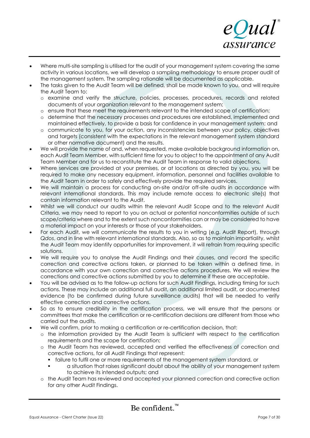

- Where multi-site sampling is utilised for the audit of your management system covering the same activity in various locations, we will develop a sampling methodology to ensure proper audit of the management system. The sampling rationale will be documented as applicable.
- The tasks given to the Audit Team will be defined, shall be made known to you, and will require the Audit Team to:
	- o examine and verify the structure, policies, processes, procedures, records and related documents of your organization relevant to the management system;
	- o ensure that these meet the requirements relevant to the intended scope of certification;
	- o determine that the necessary processes and procedures are established, implemented and maintained effectively, to provide a basis for confidence in your management system; and
	- o communicate to you, for your action, any inconsistencies between your policy, objectives and targets (consistent with the expectations in the relevant management system standard or other normative document) and the results.
- We will provide the name of and, when requested, make available background information on, each Audit Team Member, with sufficient time for you to object to the appointment of any Audit Team Member and for us to reconstitute the Audit Team in response to valid objections.
- Where services are provided at your premises, or at locations as directed by you, you will be required to make any necessary equipment, information, personnel and facilities available to the Audit Team in order to safely and effectively provide the required services.
- We will maintain a process for conducting on-site and/or off-site audits in accordance with relevant international standards. This may include remote access to electronic site(s) that contain information relevant to the Audit.
- Whilst we will conduct our audits within the relevant Audit Scope and to the relevant Audit Criteria, we may need to report to you on actual or potential nonconformities outside of such scope/criteria where and to the extent such nonconformities can or may be considered to have a material impact on your interests or those of your stakeholders.
- For each Audit, we will communicate the results to you in writing (e.g. Audit Report), through *Qdos*, and in line with relevant international standards. Also, so as to maintain impartiality, whilst the Audit Team may identify opportunities for improvement, it will refrain from requiring specific solutions.
- We will require you to analyse the Audit Findings and their causes, and record the specific correction and corrective actions taken, or planned to be taken within a defined time, in accordance with your own correction and corrective actions procedures. We will review the corrections and corrective actions submitted by you to determine if these are acceptable.
- You will be advised as to the follow-up actions for such Audit Findings, including timing for such actions. These may include an additional full audit, an additional limited audit, or documented evidence (to be confirmed during future surveillance audits) that will be needed to verify effective correction and corrective actions.
- So as to ensure credibility in the certification process, we will ensure that the persons or committees that make the certification or re-certification decisions are different from those who carried out the audits.
- We will confirm, prior to making a certification or re-certification decision, that:
	- o the information provided by the Audit Team is sufficient with respect to the certification requirements and the scope for certification;
	- o the Audit Team has reviewed, accepted and verified the effectiveness of correction and corrective actions, for all Audit Findings that represent:
		- failure to fulfil one or more requirements of the management system standard, or
		- a situation that raises significant doubt about the ability of your management system to achieve its intended outputs; and
	- o the Audit Team has reviewed and accepted your planned correction and corrective action for any other Audit Findings.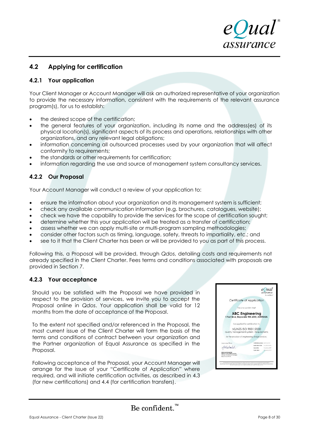

# **4.2 Applying for certification**

#### **4.2.1 Your application**

Your Client Manager or Account Manager will ask an authorized representative of your organization to provide the necessary information, consistent with the requirements of the relevant assurance program(s), for us to establish:

- the desired scope of the certification;
- the general features of your organization, including its name and the address(es) of its physical location(s), significant aspects of its process and operations, relationships with other organizations, and any relevant legal obligations;
- information concerning all outsourced processes used by your organization that will affect conformity to requirements;
- the standards or other requirements for certification;
- information regarding the use and source of management system consultancy services.

## **4.2.2 Our Proposal**

Your Account Manager will conduct a review of your application to:

- ensure the information about your organization and its management system is sufficient;
- check any available communication information (e.g. brochures, catalogues, website);
- check we have the capability to provide the services for the scope of certification sought;
- determine whether this your application will be treated as a transfer of certification;
- assess whether we can apply multi-site or multi-program sampling methodologies;
- consider other factors such as timing, language, safety, threats to impartiality, etc.; and
- see to it that the Client Charter has been or will be provided to you as part of this process.

Following this, a Proposal will be provided, through *Qdos*, detailing costs and requirements not already specified in the Client Charter. Fees terms and conditions associated with proposals are provided in Section 7.

#### **4.2.3 Your acceptance**

Should you be satisfied with the Proposal we have provided in respect to the provision of services, we invite you to accept the Proposal online in *Qdos*. Your application shall be valid for 12 months from the date of acceptance of the Proposal.

To the extent not specified and/or referenced in the Proposal, the most current issue of the Client Charter will form the basis of the terms and conditions of contract between your organization and the Partner organization of Equal Assurance as specified in the Proposal.

Following acceptance of the Proposal, your Account Manager will arrange for the issue of your "Certificate of Application" where required, and will initiate certification activities, as described in 4.3 (for new certifications) and 4.4 (for certification transfers).

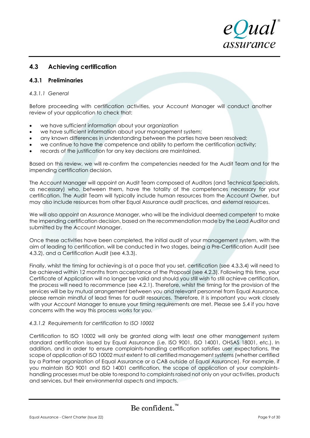

# **4.3 Achieving certification**

#### **4.3.1 Preliminaries**

#### *4.3.1.1 General*

Before proceeding with certification activities, your Account Manager will conduct another review of your application to check that:

- we have sufficient information about your organization
- we have sufficient information about your management system;
- any known differences in understanding between the parties have been resolved;
- we continue to have the competence and ability to perform the certification activity;
- records of the justification for any key decisions are maintained.

Based on this review, we will re-confirm the competencies needed for the Audit Team and for the impending certification decision.

The Account Manager will appoint an Audit Team composed of Auditors (and Technical Specialists, as necessary) who, between them, have the totality of the competences necessary for your certification. The Audit Team will typically include human resources from the Account Owner, but may also include resources from other Equal Assurance audit practices, and external resources.

We will also appoint an Assurance Manager, who will be the individual deemed competent to make the impending certification decision, based on the recommendation made by the Lead Auditor and submitted by the Account Manager.

Once these activities have been completed, the initial audit of your management system, with the aim of leading to certification, will be conducted in two stages, being a Pre-Certification Audit (see 4.3.2), and a Certification Audit (see 4.3.3).

Finally, whilst the timing for achieving is at a pace that you set, certification (see 4.3.3.4) will need to be achieved within 12 months from acceptance of the Proposal (see 4.2.3). Following this time, your Certificate of Application will no longer be valid and should you still wish to still achieve certification, the process will need to recommence (see 4.2.1). Therefore, whilst the timing for the provision of the services will be by mutual arrangement between you and relevant personnel from Equal Assurance, please remain mindful of lead times for audit resources. Therefore, it is important you work closely with your Account Manager to ensure your timing requirements are met. Please see 5.4 if you have concerns with the way this process works for you.

#### *4.3.1.2 Requirements for certification to ISO 10002*

Certification to ISO 10002 will only be granted along with least one other management system standard certification issued by Equal Assurance (i.e. ISO 9001, ISO 14001, OHSAS 18001, etc.). In addition, and in order to ensure complaints-handling certification satisfies user expectations, the scope of application of ISO 10002 must extent to all certified management systems (whether certified by a Partner organization of Equal Assurance or a CAB outside of Equal Assurance). For example, if you maintain ISO 9001 and ISO 14001 certification, the scope of application of your complaintshandling processes must be able to respond to complaints raised not only on your activities, products and services, but their environmental aspects and impacts.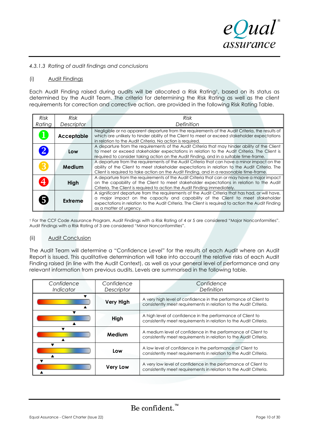eQual assurance

#### *4.3.1.3 Rating of audit findings and conclusions*

#### (i) Audit Findings

Each Audit Finding raised during audits will be allocated a Risk Rating†, based on its status as determined by the Audit Team. The criteria for determining the Risk Rating as well as the client requirements for correction and corrective action, are provided in the following Risk Rating Table.

| <b>Risk</b> | <b>Risk</b>       | <b>Risk</b>                                                                                                                                                                                                                                                                                                         |
|-------------|-------------------|---------------------------------------------------------------------------------------------------------------------------------------------------------------------------------------------------------------------------------------------------------------------------------------------------------------------|
| Rating      | Descriptor        | Definition                                                                                                                                                                                                                                                                                                          |
|             | <b>Acceptable</b> | Negligible or no apparent departure from the requirements of the Audit Criteria, the results of<br>which are unlikely to hinder ability of the Client to meet or exceed stakeholder expectations<br>in relation to the Audit Criteria. No action is required.                                                       |
|             | Low               | A departure from the requirements of the Audit Criteria that may hinder ability of the Client<br>to meet or exceed stakeholder expectations in relation to the Audit Criteria. The Client is<br>required to consider taking action on the Audit Finding, and in a suitable time-frame.                              |
|             | Medium            | A departure from the requirements of the Audit Criteria that can have a minor impact on the<br>ability of the Client to meet stakeholder expectations in relation to the Audit Criteria. The<br>Client is required to take action on the Audit Finding, and in a reasonable time-frame.                             |
|             | High              | A departure from the requirements of the Audit Criteria that can or may have a major impact<br>on the capability of the Client to meet stakeholder expectations in relation to the Audit<br>Criteria. The Client is required to action the Audit Finding immediately.                                               |
|             | Extreme           | A significant departure from the requirements of the Audit Criteria that has had, or will have,<br>a major impact on the capacity and capability of the Client to meet stakeholder<br>expectations in relation to the Audit Criteria. The Client is required to action the Audit Finding<br>as a matter of urgency. |

† For the CCF Code Assurance Program, Audit Findings with a Risk Rating of 4 or 5 are considered "Major Nonconformities". Audit Findings with a Risk Rating of 3 are considered "Minor Nonconformities".

#### (ii) Audit Conclusion

The Audit Team will determine a "Confidence Level" for the results of each Audit where an Audit Report is issued. This qualitative determination will take into account the relative risks of each Audit Finding raised (in line with the Audit Context), as well as your general level of performance and any relevant information from previous audits. Levels are summarised in the following table.

| Confidence<br>Confidence<br>Descriptor<br>Indicator |                  | Confidence<br>Definition                                                                                                             |  |
|-----------------------------------------------------|------------------|--------------------------------------------------------------------------------------------------------------------------------------|--|
|                                                     | <b>Very High</b> | A very high level of confidence in the performance of Client to<br>consistently meet requirements in relation to the Audit Criteria. |  |
|                                                     | High             | A high level of confidence in the performance of Client to<br>consistently meet requirements in relation to the Audit Criteria.      |  |
|                                                     | Medium           | A medium level of confidence in the performance of Client to<br>consistently meet requirements in relation to the Audit Criteria.    |  |
| Low                                                 |                  | A low level of confidence in the performance of Client to<br>consistently meet requirements in relation to the Audit Criteria.       |  |
|                                                     | <b>Very Low</b>  | A very low level of confidence in the performance of Client to<br>consistently meet requirements in relation to the Audit Criteria.  |  |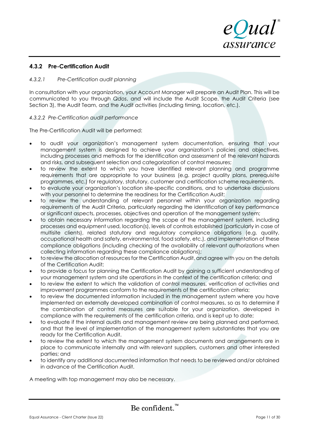

#### **4.3.2 Pre-Certification Audit**

#### *4.3.2.1 Pre-Certification audit planning*

In consultation with your organization, your Account Manager will prepare an Audit Plan. This will be communicated to you through *Qdos*, and will include the Audit Scope, the Audit Criteria (see Section 3), the Audit Team, and the Audit activities (including timing, location, etc.).

#### *4.3.2.2 Pre-Certification audit performance*

The Pre-Certification Audit will be performed:

- to audit your organization's management system documentation, ensuring that your management system is designed to achieve your organization's policies and objectives, including processes and methods for the identification and assessment of the relevant hazards and risks, and subsequent selection and categorization of control measures;
- to review the extent to which you have identified relevant planning and programme requirements that are appropriate to your business (e.g. project quality plans, prerequisite programmes, etc.) for regulatory, statutory, customer and certification scheme requirements.
- to evaluate your organization's location site-specific conditions, and to undertake discussions with your personnel to determine the readiness for the Certification Audit;
- to review the understanding of relevant personnel within your organization regarding requirements of the Audit Criteria, particularly regarding the identification of key performance or significant aspects, processes, objectives and operation of the management system;
- to obtain necessary information regarding the scope of the management system, including processes and equipment used, location(s), levels of controls established (particularly in case of multisite clients), related statutory and regulatory compliance obligations (e.g. quality, occupational health and safety, environmental, food safety, etc.), and implementation of these compliance obligations (including checking of the availability of relevant authorizations when collecting information regarding these compliance obligations);
- to review the allocation of resources for the Certification Audit, and agree with you on the details of the Certification Audit;
- to provide a focus for planning the Certification Audit by gaining a sufficient understanding of your management system and site operations in the context of the certification criteria; and
- to review the extent to which the validation of control measures, verification of activities and improvement programmes conform to the requirements of the certification criteria;
- to review the documented information included in the management system where you have implemented an externally developed combination of control measures, so as to determine if the combination of control measures are suitable for your organization, developed in compliance with the requirements of the certification criteria, and is kept up to date;
- to evaluate if the internal audits and management review are being planned and performed, and that the level of implementation of the management system substantiates that you are ready for the Certification Audit.
- to review the extent to which the management system documents and arrangements are in place to communicate internally and with relevant suppliers, customers and other interested parties; and
- to identify any additional documented information that needs to be reviewed and/or obtained in advance of the Certification Audit.

A meeting with top management may also be necessary.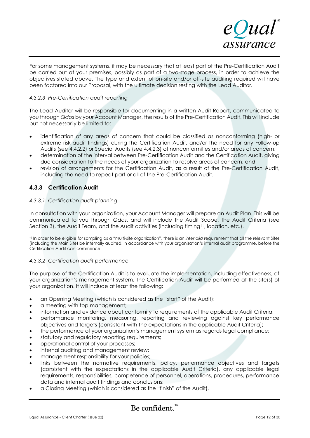

For some management systems, it may be necessary that at least part of the Pre-Certification Audit be carried out at your premises, possibly as part of a two-stage process, in order to achieve the objectives stated above. The type and extent of on-site and/or off-site auditing required will have been factored into our Proposal, with the ultimate decision resting with the Lead Auditor.

#### *4.3.2.3 Pre-Certification audit reporting*

The Lead Auditor will be responsible for documenting in a written Audit Report, communicated to you through *Qdos* by your Account Manager, the results of the Pre-Certification Audit. This will include but not necessarily be limited to:

- identification of any areas of concern that could be classified as nonconforming (high- or extreme risk audit findings) during the Certification Audit, and/or the need for any Follow-up Audits (see 4.4.2.2) or Special Audits (see 4.4.2.3) of nonconformities and/or areas of concern;
- determination of the interval between Pre-Certification Audit and the Certification Audit, giving due consideration to the needs of your organization to resolve areas of concern; and
- revision of arrangements for the Certification Audit, as a result of the Pre-Certification Audit, including the need to repeat part or all of the Pre-Certification Audit.

## **4.3.3 Certification Audit**

#### *4.3.3.1 Certification audit planning*

In consultation with your organization, your Account Manager will prepare an Audit Plan. This will be communicated to you through *Qdos*, and will include the Audit Scope, the Audit Criteria (see Section 3), the Audit Team, and the Audit activities (including timing<sup>††</sup>, location, etc.).

†† In order to be eligible for sampling as a "multi-site organization", there is an *inter alia* requirement that all the relevant Sites (including the Main Site) be internally audited, in accordance with your organization's internal audit programme, before the Certification Audit can commence.

#### *4.3.3.2 Certification audit performance*

The purpose of the Certification Audit is to evaluate the implementation, including effectiveness, of your organization's management system. The Certification Audit will be performed at the site(s) of your organization. It will include at least the following:

- an Opening Meeting (which is considered as the "start" of the Audit);
- a meeting with top management;
- information and evidence about conformity to requirements of the applicable Audit Criteria;
- performance monitoring, measuring, reporting and reviewing against key performance objectives and targets (consistent with the expectations in the applicable Audit Criteria);
- the performance of your organization's management system as regards legal compliance;
- statutory and regulatory reporting requirements;
- operational control of your processes;
- internal auditing and management review;
- management responsibility for your policies;
- links between the normative requirements, policy, performance objectives and targets (consistent with the expectations in the applicable Audit Criteria), any applicable legal requirements, responsibilities, competence of personnel, operations, procedures, performance data and internal audit findings and conclusions;
- a Closing Meeting (which is considered as the "finish" of the Audit).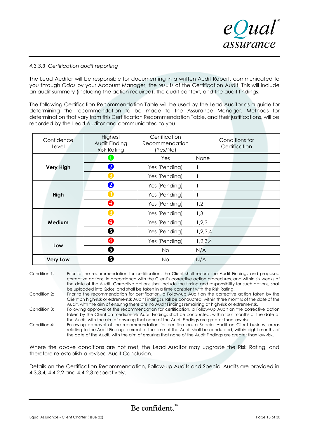

#### *4.3.3.3 Certification audit reporting*

The Lead Auditor will be responsible for documenting in a written Audit Report, communicated to you through *Qdos* by your Account Manager, the results of the Certification Audit. This will include an audit summary (including the action required), the audit context, and the audit findings.

The following Certification Recommendation Table will be used by the Lead Auditor as a guide for determining the recommendation to be made to the Assurance Manager. Methods for determination that vary from this Certification Recommendation Table, and their justifications, will be recorded by the Lead Auditor and communicated to you.

| Confidence<br>Level | Highest<br>Audit Finding<br><b>Risk Rating</b> | Certification<br>Recommendation<br>(Yes/No) | Conditions for<br>Certification |  |
|---------------------|------------------------------------------------|---------------------------------------------|---------------------------------|--|
|                     | 1                                              | Yes                                         | None                            |  |
| <b>Very High</b>    | 2                                              | Yes (Pending)                               |                                 |  |
|                     |                                                | Yes (Pending)                               |                                 |  |
|                     | 2                                              | Yes (Pending)                               |                                 |  |
| High                | 3                                              | Yes (Pending)                               |                                 |  |
|                     | ❹                                              | Yes (Pending)                               | 1,2                             |  |
|                     | З                                              | Yes (Pending)                               | 1,3                             |  |
| Medium              | ❹                                              | Yes (Pending)                               | 1,2,3                           |  |
|                     | ❺                                              | Yes (Pending)                               | 1,2,3,4                         |  |
|                     | 4                                              | Yes (Pending)                               | 1,2,3,4                         |  |
| Low                 | ❺                                              | No                                          | N/A                             |  |
| <b>Very Low</b>     | ❺                                              | <b>No</b>                                   | N/A                             |  |

- Condition 1: Prior to the recommendation for certification, the Client shall record the Audit Findings and proposed corrective actions, in accordance with the Client's corrective action procedures, and within six weeks of the date of the Audit. Corrective actions shall include the timing and responsibility for such actions, shall be uploaded into Qdos, and shall be taken in a time consistent with the Risk Rating.
- Condition 2: Prior to the recommendation for certification, a Follow-up Audit on the corrective action taken by the Client on high-risk or extreme-risk Audit Findings shall be conducted, within three months of the date of the Audit, with the aim of ensuring there are no Audit Findings remaining at high-risk or extreme-risk.
- Condition 3: Following approval of the recommendation for certification, a Follow-up Audit on the corrective action taken by the Client on medium-risk Audit Findings shall be conducted, within four months of the date of the Audit, with the aim of ensuring that none of the Audit Findings are greater than low-risk.
- Condition 4: Following approval of the recommendation for certification, a Special Audit on Client business areas relating to the Audit Findings current at the time of the Audit shall be conducted, within eight months of the date of the Audit, with the aim of ensuring that none of the Audit Findings are greater than low-risk.

Where the above conditions are not met, the Lead Auditor may upgrade the Risk Rating, and therefore re-establish a revised Audit Conclusion.

Details on the Certification Recommendation, Follow-up Audits and Special Audits are provided in 4.3.3.4, 4.4.2.2 and 4.4.2.3 respectively.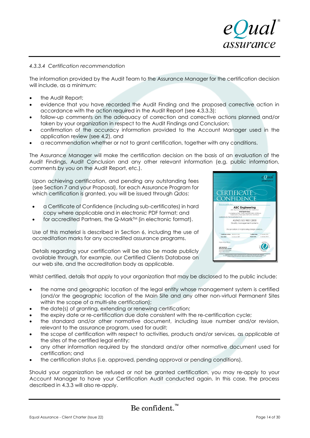

#### *4.3.3.4 Certification recommendation*

The information provided by the Audit Team to the Assurance Manager for the certification decision will include, as a minimum:

- the Audit Report;
- evidence that you have recorded the Audit Finding and the proposed corrective action in accordance with the action required in the Audit Report (see 4.3.3.3);
- follow-up comments on the adequacy of correction and corrective actions planned and/or taken by your organization in respect to the Audit Findings and Conclusion;
- confirmation of the accuracy information provided to the Account Manager used in the application review (see 4.2), and
- a recommendation whether or not to grant certification, together with any conditions.

The Assurance Manager will make the certification decision on the basis of an evaluation of the Audit Findings, Audit Conclusion and any other relevant information (e.g. public information, comments by you on the Audit Report, etc.).

Upon achieving certification, and pending any outstanding fees (see Section 7 and your Proposal), for each Assurance Program for which certification is granted, you will be issued through *Qdos*:

- a Certificate of Confidence (including sub-certificates) in hard copy where applicable and in electronic PDF format; and
- for accredited Partners, the Q-Mark<sup>™</sup> (in electronic format).

Use of this material is described in Section 6, including the use of accreditation marks for any accredited assurance programs.

Details regarding your certification will be also be made publicly available through, for example, our Certified Clients Database on our web site, and the accreditation body as applicable.

Whilst certified, details that apply to your organization that may be disclosed to the public include:

- the name and geographic location of the legal entity whose management system is certified (and/or the geographic location of the Main Site and any other non-virtual Permanent Sites within the scope of a multi-site certification);
- the date(s) of granting, extending or renewing certification;
- the expiry date or re-certification due date consistent with the re-certification cycle;
- the standard and/or other normative document, including issue number and/or revision, relevant to the assurance program, used for audit;
- the scope of certification with respect to activities, products and/or services, as applicable at the sites of the certified legal entity;
- any other information required by the standard and/or other normative document used for certification; and
- the certification status (i.e. approved, pending approval or pending conditions).

Should your organization be refused or not be granted certification, you may re-apply to your Account Manager to have your Certification Audit conducted again. In this case, the process described in 4.3.3 will also re-apply.

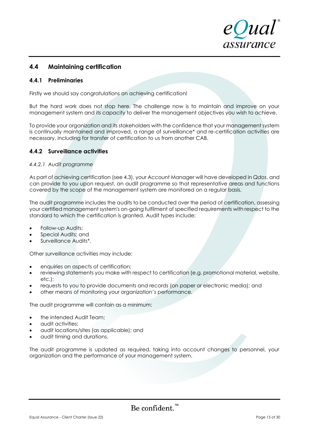

# **4.4 Maintaining certification**

#### **4.4.1 Preliminaries**

Firstly we should say congratulations on achieving certification!

But the hard work does not stop here. The challenge now is to maintain and improve on your management system and its capacity to deliver the management objectives you wish to achieve.

To provide your organization and its stakeholders with the confidence that your management system is continually maintained and improved, a range of surveillance\* and re-certification activities are necessary, including for transfer of certification to us from another CAB.

#### **4.4.2 Surveillance activities**

#### *4.4.2.1 Audit programme*

As part of achieving certification (see 4.3), your Account Manager will have developed in *Qdos*, and can provide to you upon request, an audit programme so that representative areas and functions covered by the scope of the management system are monitored on a regular basis.

The audit programme includes the audits to be conducted over the period of certification, assessing your certified management system's on-going fulfilment of specified requirements with respect to the standard to which the certification is granted. Audit types include:

- Follow-up Audits;
- Special Audits; and
- Surveillance Audits\*.

Other surveillance activities may include:

- enquiries on aspects of certification;
- reviewing statements you make with respect to certification (e.g. promotional material, website, etc.);
- requests to you to provide documents and records (on paper or electronic media); and
- other means of monitoring your organization's performance.

The audit programme will contain as a minimum:

- the intended Audit Team;
- audit activities;
- audit locations/sites (as applicable); and
- audit timing and durations.

The audit programme is updated as required, taking into account changes to personnel, your organization and the performance of your management system.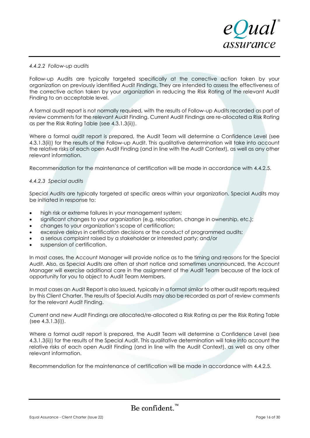

#### *4.4.2.2 Follow-up audits*

Follow-up Audits are typically targeted specifically at the corrective action taken by your organization on previously identified Audit Findings. They are intended to assess the effectiveness of the corrective action taken by your organization in reducing the Risk Rating of the relevant Audit Finding to an acceptable level.

A formal audit report is not normally required, with the results of Follow-up Audits recorded as part of review comments for the relevant Audit Finding. Current Audit Findings are re-allocated a Risk Rating as per the Risk Rating Table (see 4.3.1.3(ii)).

Where a formal audit report is prepared, the Audit Team will determine a Confidence Level (see 4.3.1.3(ii)) for the results of the Follow-up Audit. This qualitative determination will take into account the relative risks of each open Audit Finding (and in line with the Audit Context), as well as any other relevant information.

Recommendation for the maintenance of certification will be made in accordance with 4.4.2.5.

#### *4.4.2.3 Special audits*

Special Audits are typically targeted at specific areas within your organization. Special Audits may be initiated in response to:

- high risk or extreme failures in your management system;
- significant changes to your organization (e.g. relocation, change in ownership, etc.);
- changes to your organization's scope of certification;
- excessive delays in certification decisions or the conduct of programmed audits;
- a serious complaint raised by a stakeholder or interested party; and/or
- suspension of certification.

In most cases, the Account Manager will provide notice as to the timing and reasons for the Special Audit. Also, as Special Audits are often at short notice and sometimes unannounced, the Account Manager will exercise additional care in the assignment of the Audit Team because of the lack of opportunity for you to object to Audit Team Members.

In most cases an Audit Report is also issued, typically in a format similar to other audit reports required by this Client Charter. The results of Special Audits may also be recorded as part of review comments for the relevant Audit Finding.

Current and new Audit Findings are allocated/re-allocated a Risk Rating as per the Risk Rating Table (see 4.3.1.3(i)).

Where a formal audit report is prepared, the Audit Team will determine a Confidence Level (see 4.3.1.3(ii)) for the results of the Special Audit. This qualitative determination will take into account the relative risks of each open Audit Finding (and in line with the Audit Context), as well as any other relevant information.

Recommendation for the maintenance of certification will be made in accordance with 4.4.2.5.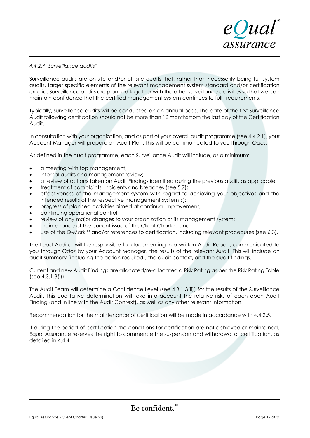

#### *4.4.2.4 Surveillance audits\**

Surveillance audits are on-site and/or off-site audits that, rather than necessarily being full system audits, target specific elements of the relevant management system standard and/or certification criteria. Surveillance audits are planned together with the other surveillance activities so that we can maintain confidence that the certified management system continues to fulfil requirements.

Typically, surveillance audits will be conducted on an annual basis. The date of the first Surveillance Audit following certification should not be more than 12 months from the last day of the Certification Audit.

In consultation with your organization, and as part of your overall audit programme (see 4.4.2.1), your Account Manager will prepare an Audit Plan. This will be communicated to you through *Qdos*.

As defined in the audit programme, each Surveillance Audit will include, as a minimum:

- a meeting with top management;
- internal audits and management review;
- a review of actions taken on Audit Findings identified during the previous audit, as applicable;
- treatment of complaints, incidents and breaches (see 5.7);
- effectiveness of the management system with regard to achieving your objectives and the intended results of the respective management system(s);
- progress of planned activities aimed at continual improvement;
- continuing operational control;
- review of any major changes to your organization or its management system;
- maintenance of the current issue of this Client Charter; and
- use of the Q-Mark<sup>TM</sup> and/or references to certification, including relevant procedures (see 6.3).

The Lead Auditor will be responsible for documenting in a written Audit Report, communicated to you through *Qdos* by your Account Manager, the results of the relevant Audit. This will include an audit summary (including the action required), the audit context, and the audit findings.

Current and new Audit Findings are allocated/re-allocated a Risk Rating as per the Risk Rating Table (see 4.3.1.3(i)).

The Audit Team will determine a Confidence Level (see 4.3.1.3(ii)) for the results of the Surveillance Audit. This qualitative determination will take into account the relative risks of each open Audit Finding (and in line with the Audit Context), as well as any other relevant information.

Recommendation for the maintenance of certification will be made in accordance with 4.4.2.5.

If during the period of certification the conditions for certification are not achieved or maintained, Equal Assurance reserves the right to commence the suspension and withdrawal of certification, as detailed in 4.4.4.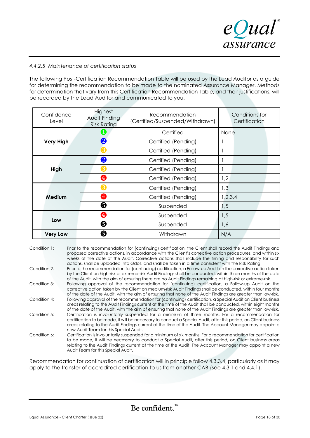

#### *4.4.2.5 Maintenance of certification status*

The following Post-Certification Recommendation Table will be used by the Lead Auditor as a guide for determining the recommendation to be made to the nominated Assurance Manager. Methods for determination that vary from this Certification Recommendation Table, and their justifications, will be recorded by the Lead Auditor and communicated to you.

| Confidence<br>Level | Highest<br>Audit Finding<br><b>Risk Rating</b> | Recommendation<br>(Certified/Suspended/Withdrawn) | Conditions for<br>Certification |  |
|---------------------|------------------------------------------------|---------------------------------------------------|---------------------------------|--|
|                     | $\mathbf{I}$                                   | Certified                                         | None                            |  |
| <b>Very High</b>    | $\left 2\right $                               | Certified (Pending)                               |                                 |  |
|                     | $\left(3\right)$                               | Certified (Pending)                               |                                 |  |
| High                | 2                                              | Certified (Pending)                               |                                 |  |
|                     | 3                                              | Certified (Pending)                               |                                 |  |
|                     | ❹                                              | Certified (Pending)                               | 1,2                             |  |
| Medium              | ΄3                                             | Certified (Pending)                               | 1,3                             |  |
|                     | 4                                              | Certified (Pending)                               | 1,2,3,4                         |  |
|                     | ❺                                              | Suspended                                         | 1,5                             |  |
|                     | $\boldsymbol{A}$                               | Suspended                                         | 1,5                             |  |
| Low                 | ❺                                              | Suspended                                         | 1,6                             |  |
| <b>Very Low</b>     | 0                                              | Withdrawn                                         | N/A                             |  |

| Condition 1: | Prior to the recommendation for (continuing) certification, the Client shall record the Audit Findings and<br>proposed corrective actions, in accordance with the Client's corrective action procedures, and within six<br>weeks of the date of the Audit. Corrective actions shall include the timing and responsibility for such<br>actions, shall be uploaded into Qdos, and shall be taken in a time consistent with the Risk Rating. |
|--------------|-------------------------------------------------------------------------------------------------------------------------------------------------------------------------------------------------------------------------------------------------------------------------------------------------------------------------------------------------------------------------------------------------------------------------------------------|
| Condition 2: | Prior to the recommendation for (continuing) certification, a Follow-up Audit on the corrective action taken<br>by the Client on high-risk or extreme-risk Audit Findings shall be conducted, within three months of the date<br>of the Audit, with the aim of ensuring there are no Audit Findings remaining at high-risk or extreme-risk.                                                                                               |
| Condition 3: | Following approval of the recommendation for (continuing) certification, a Follow-up Audit on the<br>corrective action taken by the Client on medium-risk Audit Findings shall be conducted, within four months<br>of the date of the Audit, with the aim of ensuring that none of the Audit Findings are greater than low-risk.                                                                                                          |
| Condition 4: | Following approval of the recommendation for (continuing) certification, a Special Audit on Client business<br>areas relating to the Audit Findings current at the time of the Audit shall be conducted, within eight months<br>of the date of the Audit, with the aim of ensuring that none of the Audit Findings are greater than low-risk.                                                                                             |
| Condition 5: | Certification is involuntarily suspended for a minimum of three months. For a recommendation for<br>certification to be made, it will be necessary to conduct a Special Audit, after this period, on Client business<br>areas relating to the Audit Findings current at the time of the Audit. The Account Manager may appoint a<br>new Audit Team for this Special Audit.                                                                |
| Condition 6: | Certification is involuntarily suspended for a minimum of six months. For a recommendation for certification<br>to be made, it will be necessary to conduct a Special Audit, after this period, on Client business areas<br>relating to the Audit Findings current at the time of the Audit. The Account Manager may appoint a new<br>Audit Team for this Special Audit.                                                                  |

Recommendation for continuation of certification will in principle follow 4.3.3.4, particularly as it may apply to the transfer of accredited certification to us from another CAB (see 4.3.1 and 4.4.1).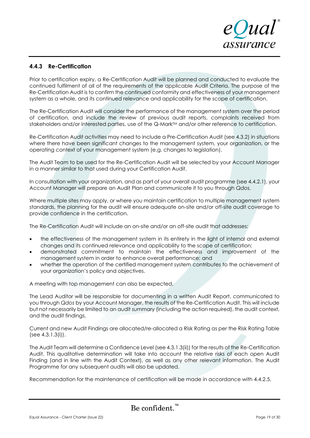

#### **4.4.3 Re-Certification**

Prior to certification expiry, a Re-Certification Audit will be planned and conducted to evaluate the continued fulfilment of all of the requirements of the applicable Audit Criteria. The purpose of the Re-Certification Audit is to confirm the continued conformity and effectiveness of your management system as a whole, and its continued relevance and applicability for the scope of certification.

The Re-Certification Audit will consider the performance of the management system over the period of certification, and include the review of previous audit reports, complaints received from stakeholders and/or interested parties, use of the Q-Mark<sup>TM</sup> and/or other reference to certification.

Re-Certification Audit activities may need to include a Pre-Certification Audit (see 4.3.2) in situations where there have been significant changes to the management system, your organization, or the operating context of your management system (e.g. changes to legislation).

The Audit Team to be used for the Re-Certification Audit will be selected by your Account Manager in a manner similar to that used during your Certification Audit.

In consultation with your organization, and as part of your overall audit programme (see 4.4.2.1), your Account Manager will prepare an Audit Plan and communicate it to you through *Qdos*.

Where multiple sites may apply, or where you maintain certification to multiple management system standards, the planning for the audit will ensure adequate on-site and/or off-site audit coverage to provide confidence in the certification.

The Re-Certification Audit will include an on-site and/or an off-site audit that addresses:

- the effectiveness of the management system in its entirety in the light of internal and external changes and its continued relevance and applicability to the scope of certification;
- demonstrated commitment to maintain the effectiveness and improvement of the management system in order to enhance overall performance; and
- whether the operation of the certified management system contributes to the achievement of your organization's policy and objectives.

A meeting with top management can also be expected.

The Lead Auditor will be responsible for documenting in a written Audit Report, communicated to you through *Qdos* by your Account Manager, the results of the Re-Certification Audit. This will include but not necessarily be limited to an audit summary (including the action required), the audit context, and the audit findings.

Current and new Audit Findings are allocated/re-allocated a Risk Rating as per the Risk Rating Table (see 4.3.1.3(i)).

The Audit Team will determine a Confidence Level (see 4.3.1.3(ii)) for the results of the Re-Certification Audit. This qualitative determination will take into account the relative risks of each open Audit Finding (and in line with the Audit Context), as well as any other relevant information. The Audit Programme for any subsequent audits will also be updated.

Recommendation for the maintenance of certification will be made in accordance with 4.4.2.5.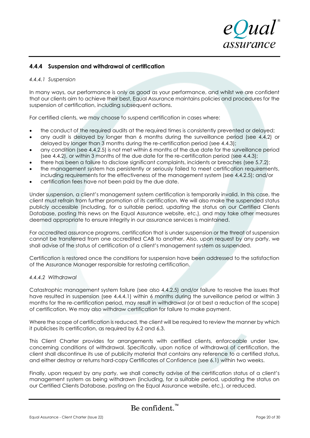

#### **4.4.4 Suspension and withdrawal of certification**

#### *4.4.4.1 Suspension*

In many ways, our performance is only as good as your performance, and whilst we are confident that our clients aim to achieve their best, Equal Assurance maintains policies and procedures for the suspension of certification, including subsequent actions.

For certified clients, we may choose to suspend certification in cases where:

- the conduct of the required audits at the required times is consistently prevented or delayed;
- any audit is delayed by longer than 6 months during the surveillance period (see 4.4.2) or delayed by longer than 3 months during the re-certification period (see 4.4.3);
- any condition (see 4.4.2.5) is not met within 6 months of the due date for the surveillance period (see 4.4.2), or within 3 months of the due date for the re-certification period (see 4.4.3);
- there has been a failure to disclose significant complaints, incidents or breaches (see 5.7.2);
- the management system has persistently or seriously failed to meet certification requirements, including requirements for the effectiveness of the management system (see 4.4.2.5); and/or
- certification fees have not been paid by the due date.

Under suspension, a client's management system certification is temporarily invalid. In this case, the client must refrain from further promotion of its certification. We will also make the suspended status publicly accessible (including, for a suitable period, updating the status on our Certified Clients Database, posting this news on the Equal Assurance website, etc.), and may take other measures deemed appropriate to ensure integrity in our assurance services is maintained.

For accredited assurance programs, certification that is under suspension or the threat of suspension cannot be transferred from one accredited CAB to another. Also, upon request by any party, we shall advise of the status of certification of a client's management system as suspended.

Certification is restored once the conditions for suspension have been addressed to the satisfaction of the Assurance Manager responsible for restoring certification.

#### *4.4.4.2 Withdrawal*

Catastrophic management system failure (see also 4.4.2.5) and/or failure to resolve the issues that have resulted in suspension (see 4.4.4.1) within 6 months during the surveillance period or within 3 months for the re-certification period, may result in withdrawal (or at best a reduction of the scope) of certification. We may also withdraw certification for failure to make payment.

Where the scope of certification is reduced, the client will be required to review the manner by which it publicises its certification, as required by 6.2 and 6.3.

This Client Charter provides for arrangements with certified clients, enforceable under law, concerning conditions of withdrawal. Specifically, upon notice of withdrawal of certification, the client shall discontinue its use of publicity material that contains any reference to a certified status, and either destroy or returns hard-copy Certificates of Confidence (see 6.1) within two weeks.

Finally, upon request by any party, we shall correctly advise of the certification status of a client's management system as being withdrawn (including, for a suitable period, updating the status on our Certified Clients Database, posting on the Equal Assurance website, etc.), or reduced.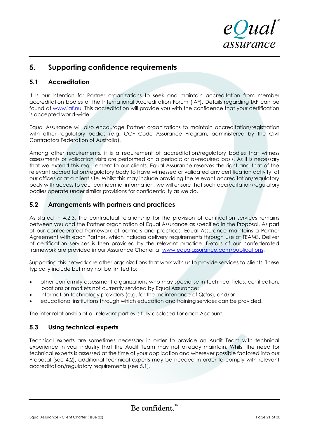

# **5. Supporting confidence requirements**

# **5.1 Accreditation**

It is our intention for Partner organizations to seek and maintain accreditation from member accreditation bodies of the International Accreditation Forum (IAF). Details regarding IAF can be found at [www.iaf.nu.](http://www.iaf.nu/) This accreditation will provide you with the confidence that your certification is accepted world-wide.

Equal Assurance will also encourage Partner organizations to maintain accreditation/registration with other regulatory bodies (e.g. CCF Code Assurance Program, administered by the Civil Contractors Federation of Australia).

Among other requirements, it is a requirement of accreditation/regulatory bodies that witness assessments or validation visits are performed on a periodic or as-required basis. As it is necessary that we extend this requirement to our clients, Equal Assurance reserves the right and that of the relevant accreditation/regulatory body to have witnessed or validated any certification activity, at our offices or at a client site. Whilst this may include providing the relevant accreditation/regulatory body with access to your confidential information, we will ensure that such accreditation/regulatory bodies operate under similar provisions for confidentiality as we do.

# **5.2 Arrangements with partners and practices**

As stated in 4.2.3, the contractual relationship for the provision of certification services remains between you and the Partner organization of Equal Assurance as specified in the Proposal. As part of our confederated framework of partners and practices, Equal Assurance maintains a Partner Agreement with each Partner, which includes delivery requirements through use of TEAMS. Deliver of certification services is then provided by the relevant practice. Details of our confederated framework are provided in our Assurance Charter at [www.equalassurance.com/publications.](http://www.equalassurance.com/publications)

Supporting this network are other organizations that work with us to provide services to clients. These typically include but may not be limited to:

- other conformity assessment organizations who may specialise in technical fields, certification, locations or markets not currently serviced by Equal Assurance;
- information technology providers (e.g. for the maintenance of *Qdos*); and/or
- educational institutions through which education and training services can be provided.

The inter-relationship of all relevant parties is fully disclosed for each Account.

# **5.3 Using technical experts**

Technical experts are sometimes necessary in order to provide an Audit Team with technical experience in your industry that the Audit Team may not already maintain. Whilst the need for technical experts is assessed at the time of your application and wherever possible factored into our Proposal (see 4.2), additional technical experts may be needed in order to comply with relevant accreditation/regulatory requirements (see 5.1).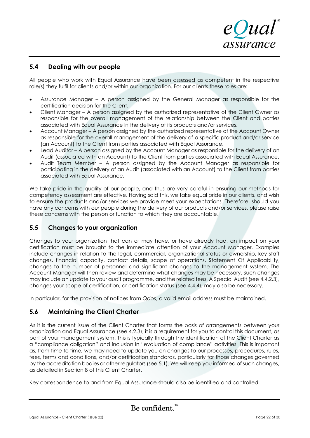

## **5.4 Dealing with our people**

All people who work with Equal Assurance have been assessed as competent in the respective role(s) they fulfil for clients and/or within our organization. For our clients these roles are:

- Assurance Manager A person assigned by the General Manager as responsible for the certification decision for the Client.
- Client Manager A person assigned by the authorized representative of the Client Owner as responsible for the overall management of the relationship between the Client and parties associated with Equal Assurance in the delivery of its products and/or services.
- Account Manager A person assigned by the authorized representative of the Account Owner as responsible for the overall management of the delivery of a specific product and/or service (an Account) to the Client from parties associated with Equal Assurance.
- Lead Auditor A person assigned by the Account Manager as responsible for the delivery of an Audit (associated with an Account) to the Client from parties associated with Equal Assurance.
- Audit Team Member A person assigned by the Account Manager as responsible for participating in the delivery of an Audit (associated with an Account) to the Client from parties associated with Equal Assurance.

We take pride in the quality of our people, and thus are very careful in ensuring our methods for competency assessment are effective. Having said this, we take equal pride in our clients, and wish to ensure the products and/or services we provide meet your expectations. Therefore, should you have any concerns with our people during the delivery of our products and/or services, please raise these concerns with the person or function to which they are accountable.

## **5.5 Changes to your organization**

Changes to your organization that can or may have, or have already had, an impact on your certification must be brought to the immediate attention of your Account Manager. Examples include changes in relation to the legal, commercial, organizational status or ownership, key staff changes, financial capacity, contact details, scope of operations, Statement Of Applicability, changes to the number of personnel and significant changes to the management system. The Account Manager will then review and determine what changes may be necessary. Such changes may include an update to your audit programme, and the related fees. A Special Audit (see 4.4.2.3), changes your scope of certification, or certification status (see 4.4.4), may also be necessary.

In particular, for the provision of notices from *Qdos*, a valid email address must be maintained.

# **5.6 Maintaining the Client Charter**

As it is the current issue of the Client Charter that forms the basis of arrangements between your organization and Equal Assurance (see 4.2.3), it is a requirement for you to control this document, as part of your management system. This is typically through the identification of the Client Charter as a "compliance obligation" and inclusion in "evaluation of compliance" activities. This is important as, from time to time, we may need to update you on changes to our processes, procedures, rules, fees, terms and conditions, and/or certification standards, particularly for those changes governed by the accreditation bodies or other regulators (see 5.1). We will keep you informed of such changes, as detailed in Section 8 of this Client Charter.

Key correspondence to and from Equal Assurance should also be identified and controlled.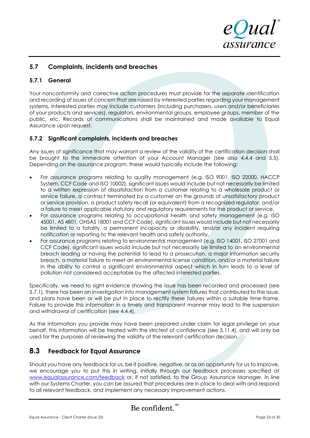

# **5.7 Complaints, incidents and breaches**

### **5.7.1 General**

Your nonconformity and corrective action procedures must provide for the separate identification and recording of issues of concern that are raised by interested parties regarding your management systems, Interested parties may include customers (including purchasers, users and/or beneficiaries of your products and services), regulators, environmental groups, employee groups, member of the public, etc. Records of communications shall be maintained and made available to Equal Assurance upon request.

#### **5.7.2 Significant complaints, incidents and breaches**

Any issues of significance that may warrant a review of the validity of the certification decision shall be brought to the immediate attention of your Account Manager (see also 4.4.4 and 5.5). Depending on the assurance program, these would typically include the following:

- For assurance programs relating to quality management (e.g. ISO 9001, ISO 22000, HACCP System, CCF Code and ISO 10002), significant issues would include but not necessarily be limited to a written expression of dissatisfaction from a customer relating to a wholesale product or service failure, a contract terminated by a customer on the grounds of unsatisfactory product or service provision, a product safety recall (or equivalent) from a recognized regulator, and/or a failure to meet applicable statutory and regulatory requirements for the product or service.
- For assurance programs relating to occupational health and safety management (e.g. ISO 45001, AS 4801, OHSAS 18001 and CCF Code), significant issues would include but not necessarily be limited to a fatality, a permanent incapacity or disability, and/or any incident requiring notification or reporting to the relevant health and safety authority.
- For assurance programs relating to environmental management (e.g. ISO 14001, ISO 27001 and CCF Code), significant issues would include but not necessarily be limited to an environmental breach leading or having the potential to lead to a prosecution, a major information security breach, a material failure to meet an environmental license condition, and/or a material failure in the ability to control a significant environmental aspect which in turn leads to a level of pollution not considered acceptable by the affected interested parties.

Specifically, we need to sight evidence showing the issue has been recorded and processed (see 5.7.1), there has been an investigation into management system failures that contributed to the issue, and plans have been or will be put in place to rectify these failures within a suitable time-frame. Failure to provide this information in a timely and transparent manner may lead to the suspension and withdrawal of certification (see 4.4.4).

As the information you provide may have been prepared under claim for legal privilege on your behalf, this information will be treated with the strictest of confidence (see 5.11.4), and will only be used for the purposes of reviewing the validity of the relevant certification decision.

# **8.3 Feedback for Equal Assurance**

Should you have any feedback for us, be it positive, negative, or as an opportunity for us to improve, we encourage you to put this in writing, initially through our feedback processes specified at [www.equalassurance.com/feedback](http://www.equalassurance.com/feedback) or, if not satisfied, to the Group Assurance Manager. In line with our Systems Charter, you can be assured that procedures are in place to deal with and respond to all relevant feedback, and implement any necessary improvement actions.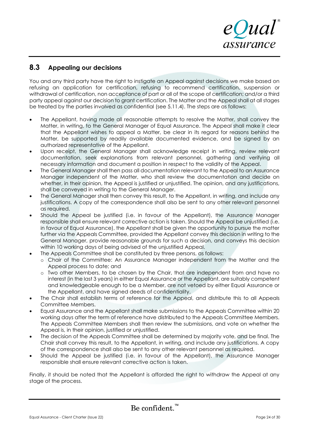

# **8.3 Appealing our decisions**

You and any third party have the right to instigate an Appeal against decisions we make based on refusing an application for certification, refusing to recommend certification, suspension or withdrawal of certification, non acceptance of part or all of the scope of certification; and/or a third party appeal against our decision to grant certification. The Matter and the Appeal shall at all stages be treated by the parties involved as confidential (see 5.11.4). The steps are as follows:

- The Appellant, having made all reasonable attempts to resolve the Matter, shall convey the Matter, in writing, to the General Manager of Equal Assurance. The Appeal shall make it clear that the Appellant wishes to appeal a Matter, be clear in its regard for reasons behind the Matter, be supported by readily available documented evidence, and be signed by an authorized representative of the Appellant.
- Upon receipt, the General Manager shall acknowledge receipt in writing, review relevant documentation, seek explanations from relevant personnel, gathering and verifying all necessary information and document a position in respect to the validity of the Appeal.
- The General Manager shall then pass all documentation relevant to the Appeal to an Assurance Manager independent of the Matter, who shall review the documentation and decide on whether, in their opinion, the Appeal is justified or unjustified. The opinion, and any justifications, shall be conveyed in writing to the General Manager.
- The General Manager shall then convey this result, to the Appellant, in writing, and include any justifications. A copy of the correspondence shall also be sent to any other relevant personnel as required.
- Should the Appeal be justified (i.e. in favour of the Appellant), the Assurance Manager responsible shall ensure relevant corrective action is taken. Should the Appeal be unjustified (i.e. in favour of Equal Assurance), the Appellant shall be given the opportunity to pursue the matter further via the Appeals Committee, provided the Appellant convey this decision in writing to the General Manager, provide reasonable grounds for such a decision, and conveys this decision within 10 working days of being advised of the unjustified Appeal.
	- The Appeals Committee shall be constituted by three persons, as follows:
		- o Chair of the Committee: An Assurance Manager independent from the Matter and the Appeal process to date; and
		- o Two other Members, to be chosen by the Chair, that are independent from and have no interest (in the last 3 years) in either Equal Assurance or the Appellant, are suitably competent and knowledgeable enough to be a Member, are not vetoed by either Equal Assurance or the Appellant, and have signed deeds of confidentiality.
- The Chair shall establish terms of reference for the Appeal, and distribute this to all Appeals Committee Members.
- Equal Assurance and the Appellant shall make submissions to the Appeals Committee within 20 working days after the term of reference have distributed to the Appeals Committee Members. The Appeals Committee Members shall then review the submissions, and vote on whether the Appeal is, in their opinion, justified or unjustified.
- The decision of the Appeals Committee shall be determined by majority vote, and be final. The Chair shall convey this result, to the Appellant, in writing, and include any justifications. A copy of the correspondence shall also be sent to any other relevant personnel as required.
- Should the Appeal be justified (i.e. in favour of the Appellant), the Assurance Manager responsible shall ensure relevant corrective action is taken.

Finally, it should be noted that the Appellant is afforded the right to withdraw the Appeal at any stage of the process.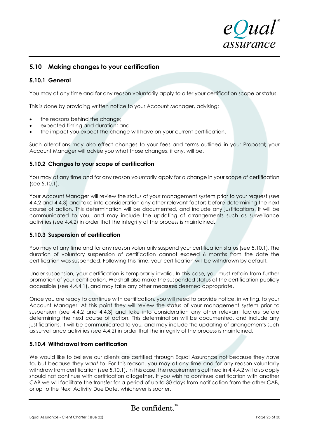

# **5.10 Making changes to your certification**

#### **5.10.1 General**

You may at any time and for any reason voluntarily apply to alter your certification scope or status.

This is done by providing written notice to your Account Manager, advising:

- the reasons behind the change;
- expected timing and duration; and
- the impact you expect the change will have on your current certification.

Such alterations may also effect changes to your fees and terms outlined in your Proposal; your Account Manager will advise you what those changes, if any, will be.

#### **5.10.2 Changes to your scope of certification**

You may at any time and for any reason voluntarily apply for a change in your scope of certification (see 5.10.1).

Your Account Manager will review the status of your management system prior to your request (see 4.4.2 and 4.4.3) and take into consideration any other relevant factors before determining the next course of action. This determination will be documented, and include any justifications. It will be communicated to you, and may include the updating of arrangements such as surveillance activities (see 4.4.2) in order that the integrity of the process is maintained.

#### **5.10.3 Suspension of certification**

You may at any time and for any reason voluntarily suspend your certification status (see 5.10.1). The duration of voluntary suspension of certification cannot exceed 6 months from the date the certification was suspended. Following this time, your certification will be withdrawn by default.

Under suspension, your certification is temporarily invalid. In this case, you must refrain from further promotion of your certification. We shall also make the suspended status of the certification publicly accessible (see 4.4.4.1), and may take any other measures deemed appropriate.

Once you are ready to continue with certification, you will need to provide notice, in writing, to your Account Manager. At this point they will review the status of your management system prior to suspension (see 4.4.2 and 4.4.3) and take into consideration any other relevant factors before determining the next course of action. This determination will be documented, and include any justifications. It will be communicated to you, and may include the updating of arrangements such as surveillance activities (see 4.4.2) in order that the integrity of the process is maintained.

#### **5.10.4 Withdrawal from certification**

We would like to believe our clients are certified through Equal Assurance not because they *have* to, but because they *want* to. For this reason, you may at any time and for any reason voluntarily withdraw from certification (see 5.10.1). In this case, the requirements outlined in 4.4.4.2 will also apply should not continue with certification altogether. If you wish to continue certification with another CAB we will facilitate the transfer for a period of up to 30 days from notification from the other CAB, or up to the Next Activity Due Date, whichever is sooner.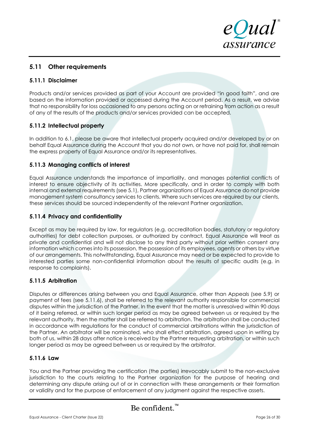

# **5.11 Other requirements**

## **5.11.1 Disclaimer**

Products and/or services provided as part of your Account are provided "in good faith", and are based on the information provided or accessed during the Account period. As a result, we advise that no responsibility for loss occasioned to any persons acting on or refraining from action as a result of any of the results of the products and/or services provided can be accepted.

## **5.11.2 Intellectual property**

In addition to 6.1, please be aware that intellectual property acquired and/or developed by or on behalf Equal Assurance during the Account that you do not own, or have not paid for, shall remain the express property of Equal Assurance and/or its representatives.

#### **5.11.3 Managing conflicts of interest**

Equal Assurance understands the importance of impartiality, and manages potential conflicts of interest to ensure objectivity of its activities. More specifically, and in order to comply with both internal and external requirements (see 5.1), Partner organizations of Equal Assurance do not provide management system consultancy services to clients. Where such services are required by our clients, these services should be sourced independently of the relevant Partner organization.

#### **5.11.4 Privacy and confidentiality**

Except as may be required by law, for regulators (e.g. accreditation bodies, statutory or regulatory authorities) for debt collection purposes, or authorized by contract, Equal Assurance will treat as private and confidential and will not disclose to any third party without prior written consent any information which comes into its possession, the possession of its employees, agents or others by virtue of our arrangements. This notwithstanding, Equal Assurance may need or be expected to provide to interested parties some non-confidential information about the results of specific audits (e.g. in response to complaints).

## **5.11.5 Arbitration**

Disputes or differences arising between you and Equal Assurance, other than Appeals (see 5.9) or payment of fees (see 5.11.6), shall be referred to the relevant authority responsible for commercial disputes within the jurisdiction of the Partner. In the event that the matter is unresolved within 90 days of it being referred, or within such longer period as may be agreed between us or required by the relevant authority, then the matter shall be referred to arbitration. The arbitration shall be conducted in accordance with regulations for the conduct of commercial arbitrations within the jurisdiction of the Partner. An arbitrator will be nominated, who shall effect arbitration, agreed upon in writing by both of us, within 28 days after notice is received by the Partner requesting arbitration, or within such longer period as may be agreed between us or required by the arbitrator.

#### **5.11.6 Law**

You and the Partner providing the certification (the parties) irrevocably submit to the non-exclusive jurisdiction to the courts relating to the Partner organization for the purpose of hearing and determining any dispute arising out of or in connection with these arrangements or their formation or validity and for the purpose of enforcement of any judgment against the respective assets.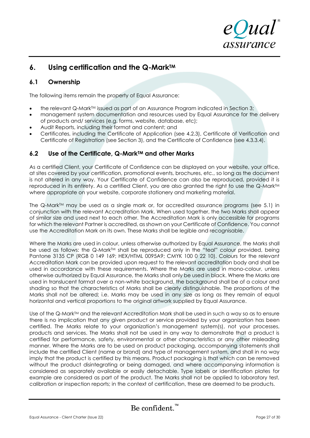

# **6. Using certification and the Q-MarkTM**

# **6.1 Ownership**

The following items remain the property of Equal Assurance:

- the relevant Q-Mark<sup>TM</sup> issued as part of an Assurance Program indicated in Section 3;
- management system documentation and resources used by Equal Assurance for the delivery of products and/ services (e.g. forms, website, database, etc);
- Audit Reports, including their format and content; and
- Certificates, including the Certificate of Application (see 4.2.3), Certificate of Verification and Certificate of Registration (see Section 3), and the Certificate of Confidence (see 4.3.3.4).

# **6.2 Use of the Certificate, Q-MarkTM and other Marks**

As a certified Client, your Certificate of Confidence can be displayed on your website, your office, at sites covered by your certification, promotional events, brochures, etc., so long as the document is not altered in any way. Your Certificate of Confidence can also be reproduced, provided it is reproduced in its entirety. As a certified Client, you are also granted the right to use the Q-Mark™ where appropriate on your website, corporate stationery and marketing material.

The Q-Mark™ may be used as a single mark or, for accredited assurance programs (see 5.1) in conjunction with the relevant Accreditation Mark. When used together, the two Marks shall appear of similar size and used next to each other. The Accreditation Mark is only accessible for programs for which the relevant Partner is accredited, as shown on your Certificate of Confidence. You cannot use the Accreditation Mark on its own. These Marks shall be legible and recognisable.

Where the Marks are used in colour, unless otherwise authorized by Equal Assurance, the Marks shall be used as follows: the Q-Mark<sup>TM</sup> shall be reproduced only in the "teal" colour provided, being Pantone 3135 CP (RGB 0 149 169; HEX/HTML 0095A9; CMYK 100 0 22 10). Colours for the relevant Accreditation Mark can be provided upon request to the relevant accreditation body and shall be used in accordance with these requirements. Where the Marks are used in mono-colour, unless otherwise authorized by Equal Assurance, the Marks shall only be used in black. Where the Marks are used in translucent format over a non-white background, the background shall be of a colour and shading so that the characteristics of Marks shall be clearly distinguishable. The proportions of the Marks shall not be altered; i.e. Marks may be used in any size as long as they remain of equal horizontal and vertical proportions to the original artwork supplied by Equal Assurance.

Use of the  $Q$ -Mark $M$  and the relevant Accreditation Mark shall be used in such a way so as to ensure there is no implication that any given product or service provided by your organization has been certified. The Marks relate to your organization's management system(s), not your processes, products and services. The Marks shall not be used in any way to demonstrate that a product is certified for performance, safety, environmental or other characteristics or any other misleading manner. Where the Marks are to be used on product packaging, accompanying statements shall include the certified Client (name or brand) and type of management system, and shall in no way imply that the product is certified by this means. Product packaging is that which can be removed without the product disintegrating or being damaged, and where accompanying information is considered as separately available or easily detachable. Type labels or identification plates for example are considered as part of the product. The Marks shall not be applied to laboratory test, calibration or inspection reports; in the context of certification, these are deemed to be products.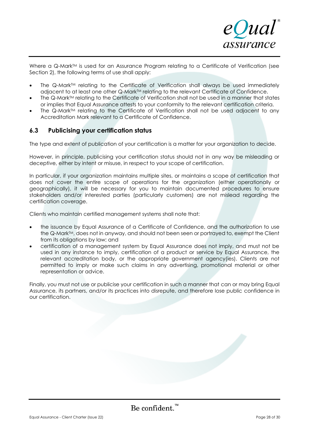

Where a Q-Mark™ is used for an Assurance Program relating to a Certificate of Verification (see Section 2), the following terms of use shall apply:

- The Q-Mark<sup>TM</sup> relating to the Certificate of Verification shall always be used immediately adjacent to at least one other Q-Mark™ relating to the relevant Certificate of Confidence.
- The Q-Mark<sup>TM</sup> relating to the Certificate of Verification shall not be used in a manner that states or implies that Equal Assurance attests to your conformity to the relevant certification criteria.
- The Q-Mark™ relating to the Certificate of Verification shall not be used adjacent to any Accreditation Mark relevant to a Certificate of Confidence.

## **6.3 Publicising your certification status**

The type and extent of publication of your certification is a matter for your organization to decide.

However, in principle, publicising your certification status should not in any way be misleading or deceptive, either by intent or misuse, in respect to your scope of certification.

In particular, if your organization maintains multiple sites, or maintains a scope of certification that does not cover the entire scope of operations for the organization (either operationally or geographically), it will be necessary for you to maintain documented procedures to ensure stakeholders and/or interested parties (particularly customers) are not mislead regarding the certification coverage.

Clients who maintain certified management systems shall note that:

- the issuance by Equal Assurance of a Certificate of Confidence, and the authorization to use the Q-Mark<sup>TM</sup>, does not in anyway, and should not been seen or portrayed to, exempt the Client from its obligations by law; and
- certification of a management system by Equal Assurance does not imply, and must not be used in any instance to imply, certification of a product or service by Equal Assurance, the relevant accreditation body, or the appropriate government agency(ies). Clients are not permitted to imply or make such claims in any advertising, promotional material or other representation or advice.

Finally, you must not use or publicise your certification in such a manner that can or may bring Equal Assurance, its partners, and/or its practices into disrepute, and therefore lose public confidence in our certification.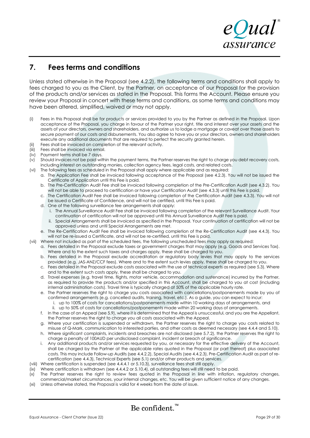# **7. Fees terms and conditions**

Unless stated otherwise in the Proposal (see 4.2.2), the following terms and conditions shall apply to fees charged to you as the Client, by the Partner, on acceptance of our Proposal for the provision of the products and/or services as stated in the Proposal. This forms the Account. Please ensure you review your Proposal in concert with these terms and conditions, as some terms and conditions may have been altered, simplified, waived or may not apply.

- (i) Fees in this Proposal shall be for products or services provided to you by the Partner as defined in the Proposal. Upon acceptance of the Proposal, you charge in favour of the Partner your right, title and interest over your assets and the assets of your directors, owners and shareholders, and authorize us to lodge a mortgage or caveat over those assets to secure payment of our costs and disbursements. You also agree to have you or your directors, owners and shareholders execute any additional documents that are required to perfect the security granted herein.
- (ii) Fees shall be invoiced on completion of the relevant activity.
- 
- (iii) Fees shall be invoiced via email.<br>(iv) Payment terms shall be 7 days. Payment terms shall be 7 days.
- (v) Should invoices not be paid within the payment terms, the Partner reserves the right to charge you debt recovery costs, including interest on outstanding monies, collection agency fees, legal costs, and related costs.
- (vi) The following fees as scheduled in the Proposal shall apply where applicable and as required:
	- a. The Application Fee shall be invoiced following acceptance of the Proposal (see 4.2.3). You will not be issued the Certificate of Application until this Fee is paid.
	- b. The Pre-Certification Audit Fee shall be invoiced following completion of the Pre-Certification Audit (see 4.3.2). You will not be able to proceed to certification or have your Certification Audit (see 4.3.3) until this Fee is paid.
	- c. The Certification Audit Fee shall be invoiced following completion of the Certification Audit (see 4.3.3). You will not be issued a Certificate of Confidence, and will not be certified, until this Fee is paid.
	- d. One of the following surveillance fee arrangements shall apply:
		- i. The Annual Surveillance Audit Fee shall be invoiced following completion of the relevant Surveillance Audit. Your continuation of certification will not be approved until this Annual Surveillance Audit Fee is paid.
		- ii. Special Arrangements shall be invoiced as specified in the Proposal. Your continuation of certification will not be approved unless and until Special Arrangements are met.
	- e. The Re-Certification Audit Fee shall be invoiced following completion of the Re-Certification Audit (see 4.4.3). You will not be re-issued a Certificate, and will not be re-certified, until this Fee is paid.
- (vii) Where not included as part of the scheduled fees, the following unscheduled fees may apply as required:
	- a. Fees detailed in the Proposal exclude taxes or government charges that may apply (e.g. Goods and Services Tax). Where and to the extent such taxes and charges apply, these shall be charged to you.
	- b. Fees detailed in the Proposal exclude accreditation or regulatory body levies that may apply to the services provided (e.g. JAS-ANZ/CCF fees). Where and to the extent such levies apply, these shall be charged to you.
	- c. Fees detailed in the Proposal exclude costs associated with the use of technical experts as required (see 5.3). Where and to the extent such costs apply, these shall be charged to you.
	- d. Travel expenses (e.g. travel time, flights, motor vehicle, accommodation and sustenance) incurred by the Partner, as required to provide the products and/or specified in this Account, shall be charged to you at cost (including internal administration costs). Travel time is typically charged at 50% of the applicable hourly rate.
	- e. The Partner reserves the right to charge you costs associated with cancellations/postponements made by you of confirmed arrangements (e.g. cancelled audits, training, travel, etc.). As a guide, you can expect to incur:
		- i. up to 100% of costs for cancellations/postponements made within 10 working days of arrangements, and
	- ii. up to 50% of costs for cancellations/postponements made within 20 working days of arrangements. f. In the case of an Appeal (see 5.9), where it is determined that the Appeal is unsuccessful, and you are the Appellant, the Partner reserves the right to charge you all costs associated with the Appeal.
	- g. Where your certification is suspended or withdrawn, the Partner reserves the right to charge you costs related to misuse of Q-Mark, communication to interested parties, and other costs as deemed necessary (see 4.4.4 and 5.10).
	- h. Where significant complaints, incidents and breaches are not disclosed (see 5.7.2), the Partner reserves the right to charge a penalty of 100AUD per undisclosed complaint, incident or breach of significance.
	- i. Any additional products and/or services requested by you, or necessary for the effective delivery of the Account, shall be charged by the Partner at the applicable rates quoted in the Proposal (or part thereof) plus associated costs. This may include Follow-up Audits (see 4.4.2.2), Special Audits (see 4.4.2.3), Pre-Certification Audit as part of recertification (see 4.4.3), Technical Experts (see 5.1) and/or other products and services.
- (viii) Where certification is suspended (see 4.4.4.1 or 5.10.3), surveillance fees shall still apply.
- (ix) Where certification is withdrawn (see 4.4.4.2 or 5.10.4), all outstanding fees will still need to be paid.
- (x) The Partner reserves the right to review fees quoted in the Proposal in line with inflation, regulatory changes, commercial/market circumstances, your internal changes, etc. You will be given sufficient notice of any changes.
- (xi) Unless otherwise stated, the Proposal is valid for 4 weeks from the date of issue.